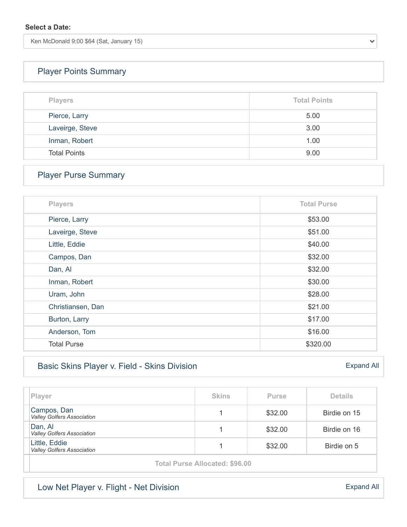Ken McDonald 9:00 \$64 (Sat, January 15)

# [Player Points Summary](https://vga-valleygolfersassociation22.golfgenius.com/v2tournaments/total_points?league_id=7761555066980434265&round_id=7761620174255456584)

| <b>Players</b>      | <b>Total Points</b> |  |  |
|---------------------|---------------------|--|--|
| Pierce, Larry       | 5.00                |  |  |
| Laveirge, Steve     | 3.00                |  |  |
| Inman, Robert       | 1.00                |  |  |
| <b>Total Points</b> | 9.00                |  |  |

## [Player Purse Summary](https://vga-valleygolfersassociation22.golfgenius.com/v2tournaments/total_purse?league_id=7761555066980434265&round_id=7761620174255456584)

| <b>Players</b>     | <b>Total Purse</b> |
|--------------------|--------------------|
| Pierce, Larry      | \$53.00            |
| Laveirge, Steve    | \$51.00            |
| Little, Eddie      | \$40.00            |
| Campos, Dan        | \$32.00            |
| Dan, Al            | \$32.00            |
| Inman, Robert      | \$30.00            |
| Uram, John         | \$28.00            |
| Christiansen, Dan  | \$21.00            |
| Burton, Larry      | \$17.00            |
| Anderson, Tom      | \$16.00            |
| <b>Total Purse</b> | \$320.00           |

### [Basic Skins Player v. Field - Skins Division](https://vga-valleygolfersassociation22.golfgenius.com/v2tournaments/8085308411517894859?player_stats_for_portal=true&round_index=23)

| Player                                             | <b>Skins</b> | <b>Purse</b> | <b>Details</b> |  |  |
|----------------------------------------------------|--------------|--------------|----------------|--|--|
| Campos, Dan<br>Valley Golfers Association          |              | \$32.00      | Birdie on 15   |  |  |
| Dan, Al<br><b>Valley Golfers Association</b>       |              | \$32.00      | Birdie on 16   |  |  |
| Little, Eddie<br><b>Valley Golfers Association</b> |              | \$32.00      | Birdie on 5    |  |  |
| <b>Total Purse Allocated: \$96.00</b>              |              |              |                |  |  |

[Expand All](https://vga-valleygolfersassociation22.golfgenius.com/tournaments2/details?adjusting=false&event_id=8085308394640015561)

[Expand All](https://vga-valleygolfersassociation22.golfgenius.com/tournaments2/details?adjusting=false&event_id=8085308411517894859)

 $\checkmark$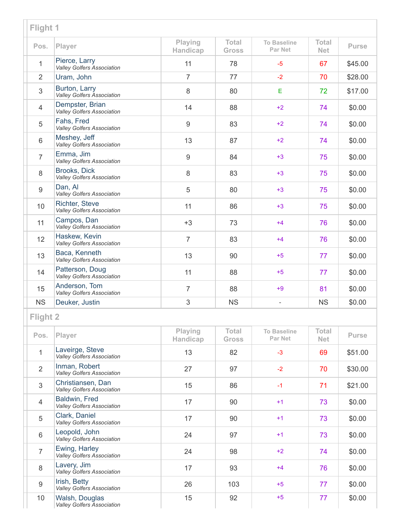| Flight 1        |                                                            |                     |                              |                                      |                            |              |
|-----------------|------------------------------------------------------------|---------------------|------------------------------|--------------------------------------|----------------------------|--------------|
| Pos.            | Player                                                     | Playing<br>Handicap | <b>Total</b><br><b>Gross</b> | <b>To Baseline</b><br><b>Par Net</b> | <b>Total</b><br><b>Net</b> | <b>Purse</b> |
| 1               | Pierce, Larry<br><b>Valley Golfers Association</b>         | 11                  | 78                           | $-5$                                 | 67                         | \$45.00      |
| $\overline{2}$  | Uram, John                                                 | $\overline{7}$      | 77                           | $-2$                                 | 70                         | \$28.00      |
| 3               | Burton, Larry<br><b>Valley Golfers Association</b>         | 8                   | 80                           | E                                    | 72                         | \$17.00      |
| $\overline{4}$  | Dempster, Brian<br>Valley Golfers Association              | 14                  | 88                           | $+2$                                 | 74                         | \$0.00       |
| 5               | Fahs, Fred<br><b>Valley Golfers Association</b>            | 9                   | 83                           | $+2$                                 | 74                         | \$0.00       |
| 6               | Meshey, Jeff<br>Valley Golfers Association                 | 13                  | 87                           | $+2$                                 | 74                         | \$0.00       |
| $\overline{7}$  | Emma, Jim<br><b>Valley Golfers Association</b>             | 9                   | 84                           | $+3$                                 | 75                         | \$0.00       |
| 8               | Brooks, Dick<br>Valley Golfers Association                 | 8                   | 83                           | $+3$                                 | 75                         | \$0.00       |
| 9               | Dan, Al<br><b>Valley Golfers Association</b>               | 5                   | 80                           | $+3$                                 | 75                         | \$0.00       |
| 10              | <b>Richter, Steve</b><br><b>Valley Golfers Association</b> | 11                  | 86                           | $+3$                                 | 75                         | \$0.00       |
| 11              | Campos, Dan<br>Valley Golfers Association                  | $+3$                | 73                           | $+4$                                 | 76                         | \$0.00       |
| 12              | Haskew, Kevin<br><b>Valley Golfers Association</b>         | $\overline{7}$      | 83                           | $+4$                                 | 76                         | \$0.00       |
| 13              | Baca, Kenneth<br><b>Valley Golfers Association</b>         | 13                  | 90                           | $+5$                                 | 77                         | \$0.00       |
| 14              | Patterson, Doug<br><b>Valley Golfers Association</b>       | 11                  | 88                           | $+5$                                 | 77                         | \$0.00       |
| 15              | Anderson, Tom<br>Valley Golfers Association                | $\overline{7}$      | 88                           | $+9$                                 | 81                         | \$0.00       |
| <b>NS</b>       | Deuker, Justin                                             | 3                   | <b>NS</b>                    | $\overline{\phantom{0}}$             | <b>NS</b>                  | \$0.00       |
| <b>Flight 2</b> |                                                            |                     |                              |                                      |                            |              |
| Pos.            | Player                                                     | Playing<br>Handicap | <b>Total</b><br><b>Gross</b> | <b>To Baseline</b><br>Par Net        | <b>Total</b><br><b>Net</b> | <b>Purse</b> |
| $\mathbf{1}$    | Laveirge, Steve<br>Valley Golfers Association              | 13                  | 82                           | $-3$                                 | 69                         | \$51.00      |
| $\overline{2}$  | Inman, Robert<br><b>Valley Golfers Association</b>         | 27                  | 97                           | $-2$                                 | 70                         | \$30.00      |
| 3               | Christiansen, Dan<br><b>Valley Golfers Association</b>     | 15                  | 86                           | $-1$                                 | 71                         | \$21.00      |
| $\overline{4}$  | Baldwin, Fred<br><b>Valley Golfers Association</b>         | 17                  | 90                           | $+1$                                 | 73                         | \$0.00       |
| 5               | Clark, Daniel<br><b>Valley Golfers Association</b>         | 17                  | 90                           | $+1$                                 | 73                         | \$0.00       |
| 6               | Leopold, John<br>Valley Golfers Association                | 24                  | 97                           | $+1$                                 | 73                         | \$0.00       |
| $\overline{7}$  | Ewing, Harley<br>Valley Golfers Association                | 24                  | 98                           | $+2$                                 | 74                         | \$0.00       |
| 8               | Lavery, Jim<br><b>Valley Golfers Association</b>           | 17                  | 93                           | $+4$                                 | 76                         | \$0.00       |
| $9\,$           | Irish, Betty<br>Valley Golfers Association                 | 26                  | 103                          | $+5$                                 | 77                         | \$0.00       |
| 10              | Walsh, Douglas<br><b>Valley Golfers Association</b>        | 15                  | 92                           | $+5$                                 | 77                         | \$0.00       |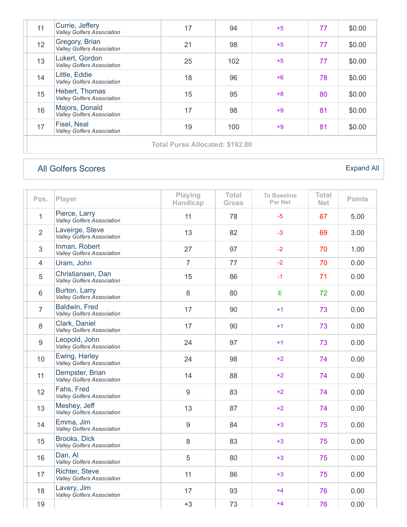| 11 | Currie, Jeffery<br>Valley Golfers Association       | 17 | 94  | $+5$ | 77 | \$0.00 |
|----|-----------------------------------------------------|----|-----|------|----|--------|
| 12 | Gregory, Brian<br>Valley Golfers Association        | 21 | 98  | $+5$ | 77 | \$0.00 |
| 13 | Lukert, Gordon<br><b>Valley Golfers Association</b> | 25 | 102 | $+5$ | 77 | \$0.00 |
| 14 | Little, Eddie<br><b>Valley Golfers Association</b>  | 18 | 96  | $+6$ | 78 | \$0.00 |
| 15 | Hebert, Thomas<br><b>Valley Golfers Association</b> | 15 | 95  | $+8$ | 80 | \$0.00 |
| 16 | Majors, Donald<br>Valley Golfers Association        | 17 | 98  | $+9$ | 81 | \$0.00 |
| 17 | Fisel, Neal<br><b>Valley Golfers Association</b>    | 19 | 100 | $+9$ | 81 | \$0.00 |
|    | <b>Total Purse Allocated: \$192.00</b>              |    |     |      |    |        |

# [All Golfers Scores](https://vga-valleygolfersassociation22.golfgenius.com/v2tournaments/8085308397123043530?player_stats_for_portal=true&round_index=23)

#### [Expand All](https://vga-valleygolfersassociation22.golfgenius.com/tournaments2/details?adjusting=false&event_id=8085308397123043530)

| Pos.           | Player                                                     | Playing<br>Handicap | <b>Total</b><br>Gross | <b>To Baseline</b><br>Par Net | <b>Total</b><br><b>Net</b> | <b>Points</b> |
|----------------|------------------------------------------------------------|---------------------|-----------------------|-------------------------------|----------------------------|---------------|
| $\mathbf{1}$   | Pierce, Larry<br>Valley Golfers Association                | 11                  | 78                    | $-5$                          | 67                         | 5.00          |
| $\overline{2}$ | Laveirge, Steve<br>Valley Golfers Association              | 13                  | 82                    | $-3$                          | 69                         | 3.00          |
| 3              | Inman, Robert<br>Valley Golfers Association                | 27                  | 97                    | $-2$                          | 70                         | 1.00          |
| $\overline{4}$ | Uram, John                                                 | $\overline{7}$      | 77                    | $-2$                          | 70                         | 0.00          |
| 5              | Christiansen, Dan<br><b>Valley Golfers Association</b>     | 15                  | 86                    | $-1$                          | 71                         | 0.00          |
| $6\,$          | Burton, Larry<br>Valley Golfers Association                | 8                   | 80                    | Е                             | 72                         | 0.00          |
| $\overline{7}$ | Baldwin, Fred<br><b>Valley Golfers Association</b>         | 17                  | 90                    | $+1$                          | 73                         | 0.00          |
| 8              | Clark, Daniel<br><b>Valley Golfers Association</b>         | 17                  | 90                    | $+1$                          | 73                         | 0.00          |
| 9              | Leopold, John<br>Valley Golfers Association                | 24                  | 97                    | $+1$                          | 73                         | 0.00          |
| 10             | Ewing, Harley<br>Valley Golfers Association                | 24                  | 98                    | $+2$                          | 74                         | 0.00          |
| 11             | Dempster, Brian<br>Valley Golfers Association              | 14                  | 88                    | $+2$                          | 74                         | 0.00          |
| 12             | Fahs, Fred<br>Valley Golfers Association                   | 9                   | 83                    | $+2$                          | 74                         | 0.00          |
| 13             | Meshey, Jeff<br>Valley Golfers Association                 | 13                  | 87                    | $+2$                          | 74                         | 0.00          |
| 14             | Emma, Jim<br><b>Valley Golfers Association</b>             | 9                   | 84                    | $+3$                          | 75                         | 0.00          |
| 15             | <b>Brooks, Dick</b><br><b>Valley Golfers Association</b>   | 8                   | 83                    | $+3$                          | 75                         | 0.00          |
| 16             | Dan, Al<br><b>Valley Golfers Association</b>               | 5                   | 80                    | $+3$                          | 75                         | 0.00          |
| 17             | <b>Richter, Steve</b><br><b>Valley Golfers Association</b> | 11                  | 86                    | $+3$                          | 75                         | 0.00          |
| 18             | Lavery, Jim<br>Valley Golfers Association                  | 17                  | 93                    | $+4$                          | 76                         | 0.00          |
| 19             |                                                            | $+3$                | 73                    | $+4$                          | 76                         | 0.00          |